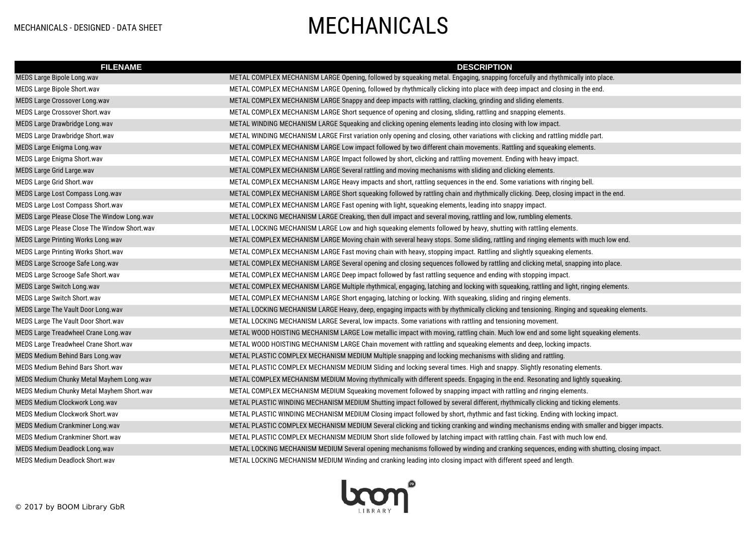## MECHANICALS - DESIGNED - DATA SHEET MECHANICALS

| <b>FILENAME</b>                              | <b>DESCRIPTION</b>                                                                                                                          |
|----------------------------------------------|---------------------------------------------------------------------------------------------------------------------------------------------|
| MEDS Large Bipole Long.wav                   | METAL COMPLEX MECHANISM LARGE Opening, followed by squeaking metal. Engaging, snapping forcefully and rhythmically into place.              |
| MEDS Large Bipole Short.wav                  | METAL COMPLEX MECHANISM LARGE Opening, followed by rhythmically clicking into place with deep impact and closing in the end.                |
| MEDS Large Crossover Long.wav                | METAL COMPLEX MECHANISM LARGE Snappy and deep impacts with rattling, clacking, grinding and sliding elements.                               |
| MEDS Large Crossover Short.wav               | METAL COMPLEX MECHANISM LARGE Short sequence of opening and closing, sliding, rattling and snapping elements.                               |
| MEDS Large Drawbridge Long.wav               | METAL WINDING MECHANISM LARGE Squeaking and clicking opening elements leading into closing with low impact.                                 |
| MEDS Large Drawbridge Short.wav              | METAL WINDING MECHANISM LARGE First variation only opening and closing, other variations with clicking and rattling middle part.            |
| MEDS Large Enigma Long.wav                   | METAL COMPLEX MECHANISM LARGE Low impact followed by two different chain movements. Rattling and squeaking elements.                        |
| MEDS Large Enigma Short.wav                  | METAL COMPLEX MECHANISM LARGE Impact followed by short, clicking and rattling movement. Ending with heavy impact.                           |
| <b>MEDS Large Grid Large.wav</b>             | METAL COMPLEX MECHANISM LARGE Several rattling and moving mechanisms with sliding and clicking elements.                                    |
| MEDS Large Grid Short.wav                    | METAL COMPLEX MECHANISM LARGE Heavy impacts and short, rattling sequences in the end. Some variations with ringing bell.                    |
| MEDS Large Lost Compass Long.wav             | METAL COMPLEX MECHANISM LARGE Short squeaking followed by rattling chain and rhythmically clicking. Deep, closing impact in the end.        |
| MEDS Large Lost Compass Short.wav            | METAL COMPLEX MECHANISM LARGE Fast opening with light, squeaking elements, leading into snappy impact.                                      |
| MEDS Large Please Close The Window Long.wav  | METAL LOCKING MECHANISM LARGE Creaking, then dull impact and several moving, rattling and low, rumbling elements.                           |
| MEDS Large Please Close The Window Short.wav | METAL LOCKING MECHANISM LARGE Low and high squeaking elements followed by heavy, shutting with rattling elements.                           |
| <b>MEDS Large Printing Works Long.wav</b>    | METAL COMPLEX MECHANISM LARGE Moving chain with several heavy stops. Some sliding, rattling and ringing elements with much low end.         |
| MEDS Large Printing Works Short.wav          | METAL COMPLEX MECHANISM LARGE Fast moving chain with heavy, stopping impact. Rattling and slightly squeaking elements.                      |
| MEDS Large Scrooge Safe Long.wav             | METAL COMPLEX MECHANISM LARGE Several opening and closing sequences followed by rattling and clicking metal, snapping into place.           |
| MEDS Large Scrooge Safe Short.wav            | METAL COMPLEX MECHANISM LARGE Deep impact followed by fast rattling sequence and ending with stopping impact.                               |
| MEDS Large Switch Long.wav                   | METAL COMPLEX MECHANISM LARGE Multiple rhythmical, engaging, latching and locking with squeaking, rattling and light, ringing elements.     |
| MEDS Large Switch Short.wav                  | METAL COMPLEX MECHANISM LARGE Short engaging, latching or locking. With squeaking, sliding and ringing elements.                            |
| MEDS Large The Vault Door Long.wav           | METAL LOCKING MECHANISM LARGE Heavy, deep, engaging impacts with by rhythmically clicking and tensioning. Ringing and squeaking elements.   |
| MEDS Large The Vault Door Short.wav          | METAL LOCKING MECHANISM LARGE Several, low impacts. Some variations with rattling and tensioning movement.                                  |
| MEDS Large Treadwheel Crane Long.wav         | METAL WOOD HOISTING MECHANISM LARGE Low metallic impact with moving, rattling chain. Much low end and some light squeaking elements.        |
| MEDS Large Treadwheel Crane Short.wav        | METAL WOOD HOISTING MECHANISM LARGE Chain movement with rattling and squeaking elements and deep, locking impacts.                          |
| MEDS Medium Behind Bars Long.wav             | METAL PLASTIC COMPLEX MECHANISM MEDIUM Multiple snapping and locking mechanisms with sliding and rattling.                                  |
| MEDS Medium Behind Bars Short.wav            | METAL PLASTIC COMPLEX MECHANISM MEDIUM Sliding and locking several times. High and snappy. Slightly resonating elements.                    |
| MEDS Medium Chunky Metal Mayhem Long.wav     | METAL COMPLEX MECHANISM MEDIUM Moving rhythmically with different speeds. Engaging in the end. Resonating and lightly squeaking.            |
| MEDS Medium Chunky Metal Mayhem Short.wav    | METAL COMPLEX MECHANISM MEDIUM Squeaking movement followed by snapping impact with rattling and ringing elements.                           |
| MEDS Medium Clockwork Long.wav               | METAL PLASTIC WINDING MECHANISM MEDIUM Shutting impact followed by several different, rhythmically clicking and ticking elements.           |
| MEDS Medium Clockwork Short.wav              | METAL PLASTIC WINDING MECHANISM MEDIUM Closing impact followed by short, rhythmic and fast ticking. Ending with locking impact.             |
| MEDS Medium Crankminer Long.wav              | METAL PLASTIC COMPLEX MECHANISM MEDIUM Several clicking and ticking cranking and winding mechanisms ending with smaller and bigger impacts. |
| <b>MEDS Medium Crankminer Short.wav</b>      | METAL PLASTIC COMPLEX MECHANISM MEDIUM Short slide followed by latching impact with rattling chain. Fast with much low end.                 |
| MEDS Medium Deadlock Long.wav                | METAL LOCKING MECHANISM MEDIUM Several opening mechanisms followed by winding and cranking sequences, ending with shutting, closing impact. |
| <b>MEDS Medium Deadlock Short.wav</b>        | METAL LOCKING MECHANISM MEDIUM Winding and cranking leading into closing impact with different speed and length.                            |

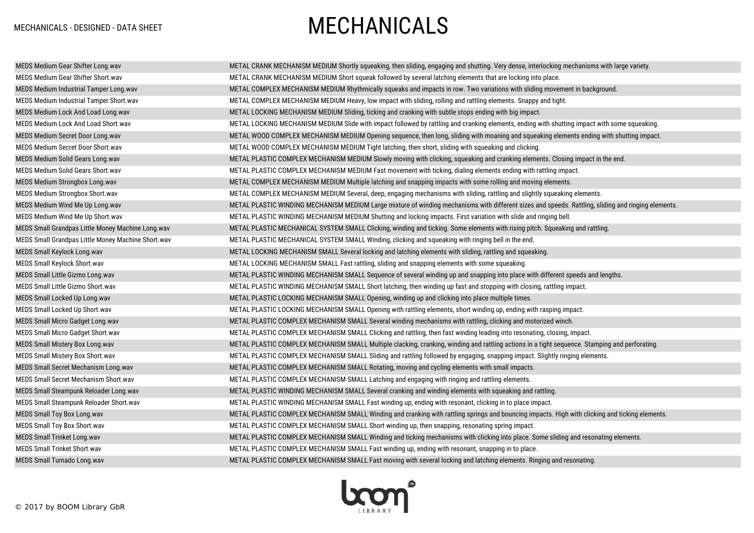## MECHANICALS - DESIGNED - DATA SHEET **MECHANICALS**

| MEDS Medium Gear Shifter Long.wav                  | METAL CRANK MECHANISM MEDIUM Shortly squeaking, then sliding, engaging and shutting. Very dense, interlocking mechanisms with large variety.        |
|----------------------------------------------------|-----------------------------------------------------------------------------------------------------------------------------------------------------|
| MEDS Medium Gear Shifter Short.wav                 | METAL CRANK MECHANISM MEDIUM Short squeak followed by several latching elements that are locking into place.                                        |
| MEDS Medium Industrial Tamper Long.wav             | METAL COMPLEX MECHANISM MEDIUM Rhythmically squeaks and impacts in row. Two variations with sliding movement in background.                         |
| MEDS Medium Industrial Tamper Short.wav            | METAL COMPLEX MECHANISM MEDIUM Heavy, low impact with sliding, rolling and rattling elements. Snappy and tight.                                     |
| MEDS Medium Lock And Load Long.wav                 | METAL LOCKING MECHANISM MEDIUM Sliding, ticking and cranking with subtle stops ending with big impact.                                              |
| MEDS Medium Lock And Load Short.wav                | METAL LOCKING MECHANISM MEDIUM Slide with impact followed by rattling and cranking elements, ending with shutting impact with some squeaking.       |
| MEDS Medium Secret Door Long.wav                   | METAL WOOD COMPLEX MECHANISM MEDIUM Opening sequence, then long, sliding with moaning and squeaking elements ending with shutting impact.           |
| MEDS Medium Secret Door Short.wav                  | METAL WOOD COMPLEX MECHANISM MEDIUM Tight latching, then short, sliding with squeaking and clicking.                                                |
| MEDS Medium Solid Gears Long.wav                   | METAL PLASTIC COMPLEX MECHANISM MEDIUM Slowly moving with clicking, squeaking and cranking elements. Closing impact in the end.                     |
| <b>MEDS Medium Solid Gears Short.wav</b>           | METAL PLASTIC COMPLEX MECHANISM MEDIUM Fast movement with ticking, dialing elements ending with rattling impact.                                    |
| MEDS Medium Strongbox Long.wav                     | METAL COMPLEX MECHANISM MEDIUM Multiple latching and snapping impacts with some rolling and moving elements.                                        |
| MEDS Medium Strongbox Short.wav                    | METAL COMPLEX MECHANISM MEDIUM Several, deep, engaging mechanisms with sliding, rattling and slightly squeaking elements.                           |
| MEDS Medium Wind Me Up Long.wav                    | METAL PLASTIC WINDING MECHANISM MEDIUM Large mixture of winding mechanisms with different sizes and speeds. Rattling, sliding and ringing elements. |
| MEDS Medium Wind Me Up Short.wav                   | METAL PLASTIC WINDING MECHANISM MEDIUM Shutting and locking impacts. First variation with slide and ringing bell.                                   |
| MEDS Small Grandpas Little Money Machine Long.wav  | METAL PLASTIC MECHANICAL SYSTEM SMALL Clicking, winding and ticking. Some elements with rising pitch. Squeaking and rattling.                       |
| MEDS Small Grandpas Little Money Machine Short.wav | METAL PLASTIC MECHANICAL SYSTEM SMALL Winding, clicking and squeaking with ringing bell in the end.                                                 |
| MEDS Small Keylock Long.wav                        | METAL LOCKING MECHANISM SMALL Several locking and latching elements with sliding, rattling and squeaking.                                           |
| MEDS Small Keylock Short.wav                       | METAL LOCKING MECHANISM SMALL Fast rattling, sliding and snapping elements with some squeaking.                                                     |
| MEDS Small Little Gizmo Long.wav                   | METAL PLASTIC WINDING MECHANISM SMALL Sequence of several winding up and snapping into place with different speeds and lengths.                     |
| MEDS Small Little Gizmo Short.wav                  | METAL PLASTIC WINDING MECHANISM SMALL Short latching, then winding up fast and stopping with closing, rattling impact.                              |
| MEDS Small Locked Up Long.wav                      | METAL PLASTIC LOCKING MECHANISM SMALL Opening, winding up and clicking into place multiple times.                                                   |
| MEDS Small Locked Up Short.wav                     | METAL PLASTIC LOCKING MECHANISM SMALL Opening with rattling elements, short winding up, ending with rasping impact.                                 |
| MEDS Small Micro Gadget Long.wav                   | METAL PLASTIC COMPLEX MECHANISM SMALL Several winding mechanisms with rattling, clicking and motorized winch.                                       |
| MEDS Small Micro Gadget Short.wav                  | METAL PLASTIC COMPLEX MECHANISM SMALL Clicking and rattling, then fast winding leading into resonating, closing, impact.                            |
| MEDS Small Mistery Box Long.wav                    | METAL PLASTIC COMPLEX MECHANISM SMALL Multiple clacking, cranking, winding and rattling actions in a tight sequence. Stamping and perforating.      |
| MEDS Small Mistery Box Short.wav                   | METAL PLASTIC COMPLEX MECHANISM SMALL Sliding and rattling followed by engaging, snapping impact. Slightly ringing elements.                        |
| MEDS Small Secret Mechanism Long.wav               | METAL PLASTIC COMPLEX MECHANISM SMALL Rotating, moving and cycling elements with small impacts.                                                     |
| MEDS Small Secret Mechanism Short.wav              | METAL PLASTIC COMPLEX MECHANISM SMALL Latching and engaging with ringing and rattling elements.                                                     |
| MEDS Small Steampunk Reloader Long.wav             | METAL PLASTIC WINDING MECHANISM SMALL Several cranking and winding elements with squeaking and rattling.                                            |
| MEDS Small Steampunk Reloader Short.wav            | METAL PLASTIC WINDING MECHANISM SMALL Fast winding up, ending with resonant, clicking in to place impact.                                           |
| MEDS Small Toy Box Long.wav                        | METAL PLASTIC COMPLEX MECHANISM SMALL Winding and cranking with rattling springs and bouncing impacts. High with clicking and ticking elements.     |
| MEDS Small Toy Box Short.wav                       | METAL PLASTIC COMPLEX MECHANISM SMALL Short winding up, then snapping, resonating spring impact.                                                    |
| MEDS Small Trinket Long.wav                        | METAL PLASTIC COMPLEX MECHANISM SMALL Winding and ticking mechanisms with clicking into place. Some sliding and resonating elements.                |
| <b>MEDS Small Trinket Short.wav</b>                | METAL PLASTIC COMPLEX MECHANISM SMALL Fast winding up, ending with resonant, snapping in to place.                                                  |
| <b>MEDS Small Turnado Long.wav</b>                 | METAL PLASTIC COMPLEX MECHANISM SMALL Fast moving with several locking and latching elements. Ringing and resonating.                               |